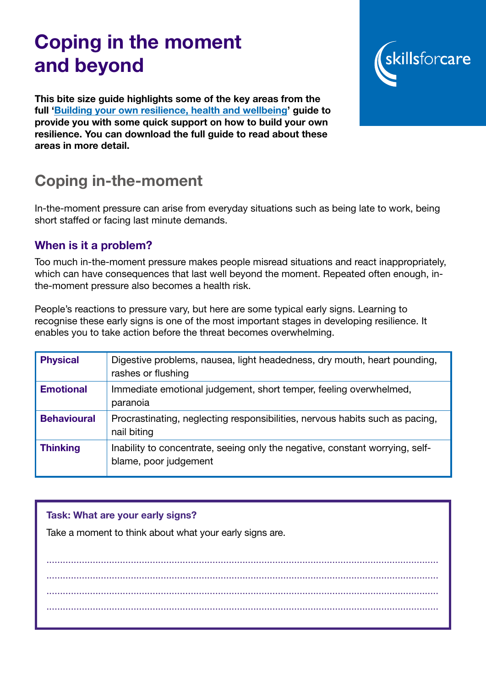# Coping in the moment and beyond

This bite size guide highlights some of the key areas from the full ['Building your own resilience, health and wellbeing](https://www.skillsforcare.org.uk/Leadership-management/support-for-registered-managers/Building-resilience.aspx)' guide to provide you with some quick support on how to build your own resilience. You can download the full guide to read about these areas in more detail.

## Coping in-the-moment

In-the-moment pressure can arise from everyday situations such as being late to work, being short staffed or facing last minute demands.

### When is it a problem?

Too much in-the-moment pressure makes people misread situations and react inappropriately, which can have consequences that last well beyond the moment. Repeated often enough, inthe-moment pressure also becomes a health risk.

People's reactions to pressure vary, but here are some typical early signs. Learning to recognise these early signs is one of the most important stages in developing resilience. It enables you to take action before the threat becomes overwhelming.

| <b>Physical</b>    | Digestive problems, nausea, light headedness, dry mouth, heart pounding,<br>rashes or flushing        |
|--------------------|-------------------------------------------------------------------------------------------------------|
| <b>Emotional</b>   | Immediate emotional judgement, short temper, feeling overwhelmed,<br>paranoia                         |
| <b>Behavioural</b> | Procrastinating, neglecting responsibilities, nervous habits such as pacing,<br>nail biting           |
| <b>Thinking</b>    | Inability to concentrate, seeing only the negative, constant worrying, self-<br>blame, poor judgement |

#### Task: What are your early signs?

Take a moment to think about what your early signs are.

................................................................................................................................................ ................................................................................................................................................ ................................................................................................................................................ ................................................................................................................................................

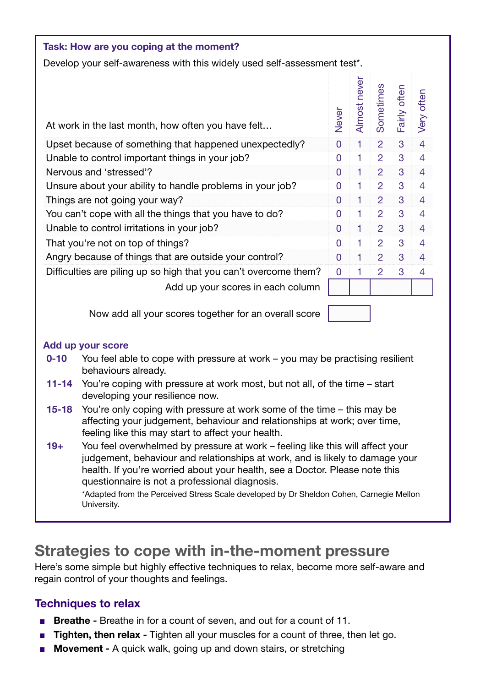| Task: How are you coping at the moment?                                  |       |              |                |              |                |  |
|--------------------------------------------------------------------------|-------|--------------|----------------|--------------|----------------|--|
| Develop your self-awareness with this widely used self-assessment test*. |       |              |                |              |                |  |
| At work in the last month, how often you have felt                       | Never | Almost never | Sometimes      | Fairly often | Very often     |  |
| Upset because of something that happened unexpectedly?                   |       | 1            | $\overline{2}$ | 3            | $\overline{4}$ |  |
| Unable to control important things in your job?                          |       | 1            | $\overline{2}$ | 3            | 4              |  |
| Nervous and 'stressed'?                                                  |       | 1            | 2              | 3            | 4              |  |
| Unsure about your ability to handle problems in your job?                |       | 1            | $\overline{2}$ | 3            | 4              |  |
| Things are not going your way?                                           |       | 1            | $\overline{2}$ | 3            | $\overline{4}$ |  |
| You can't cope with all the things that you have to do?                  |       | 1            | $\overline{2}$ | 3            | 4              |  |
| Unable to control irritations in your job?                               |       | 1            | $\overline{2}$ | 3            | $\overline{4}$ |  |
| That you're not on top of things?                                        |       | 1            | $\overline{2}$ | 3            | $\overline{4}$ |  |
| Angry because of things that are outside your control?                   |       | 1            | $\overline{2}$ | 3            | $\overline{4}$ |  |
| Difficulties are piling up so high that you can't overcome them?         |       |              | $\overline{2}$ | 3            | 4              |  |
| Add up your scores in each column                                        |       |              |                |              |                |  |

Now add all your scores together for an overall score

#### Add up your score

- 0-10 You feel able to cope with pressure at work you may be practising resilient behaviours already.
- 11-14 You're coping with pressure at work most, but not all, of the time start developing your resilience now.
- 15-18 You're only coping with pressure at work some of the time this may be affecting your judgement, behaviour and relationships at work; over time, feeling like this may start to affect your health.
- 19+ You feel overwhelmed by pressure at work feeling like this will affect your judgement, behaviour and relationships at work, and is likely to damage your health. If you're worried about your health, see a Doctor. Please note this questionnaire is not a professional diagnosis.

\*Adapted from the Perceived Stress Scale developed by Dr Sheldon Cohen, Carnegie Mellon University.

### Strategies to cope with in-the-moment pressure

Here's some simple but highly effective techniques to relax, become more self-aware and regain control of your thoughts and feelings.

### Techniques to relax

- Breathe Breathe in for a count of seven, and out for a count of 11.
- Tighten, then relax Tighten all your muscles for a count of three, then let go.
- **Movement A quick walk, going up and down stairs, or stretching**